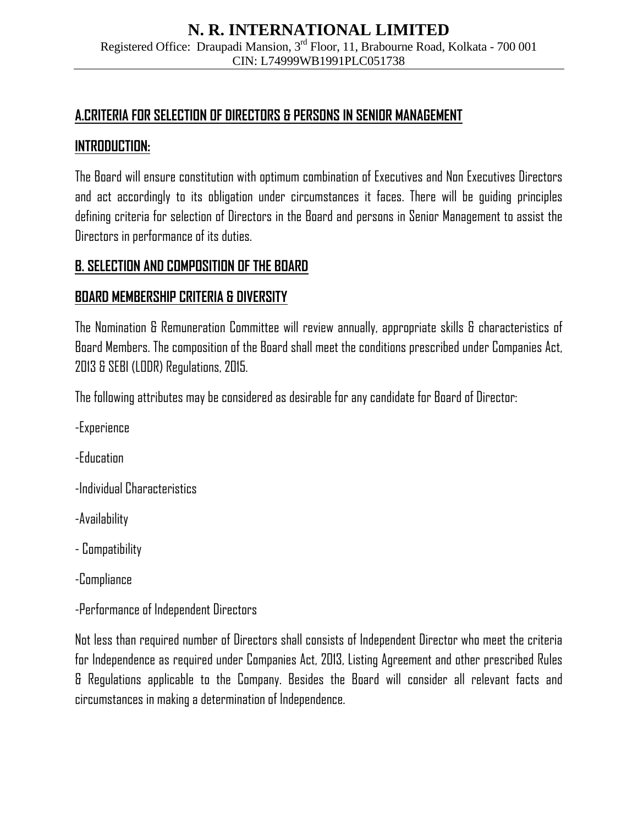## **A.CRITERIA FOR SELECTION OF DIRECTORS & PERSONS IN SENIOR MANAGEMENT**

### **INTRODUCTION:**

The Board will ensure constitution with optimum combination of Executives and Non Executives Directors and act accordingly to its obligation under circumstances it faces. There will be guiding principles defining criteria for selection of Directors in the Board and persons in Senior Management to assist the Directors in performance of its duties.

## **B. SELECTION AND COMPOSITION OF THE BOARD**

## **BOARD MEMBERSHIP CRITERIA & DIVERSITY**

The Nomination & Remuneration Committee will review annually, appropriate skills & characteristics of Board Members. The composition of the Board shall meet the conditions prescribed under Companies Act, 2013 & SEBI (LODR) Regulations, 2015.

The following attributes may be considered as desirable for any candidate for Board of Director:

- -Experience
- -Education
- -Individual Characteristics
- -Availability
- Compatibility
- -Compliance
- -Performance of Independent Directors

Not less than required number of Directors shall consists of Independent Director who meet the criteria for Independence as required under Companies Act, 2013, Listing Agreement and other prescribed Rules & Regulations applicable to the Company. Besides the Board will consider all relevant facts and circumstances in making a determination of Independence.